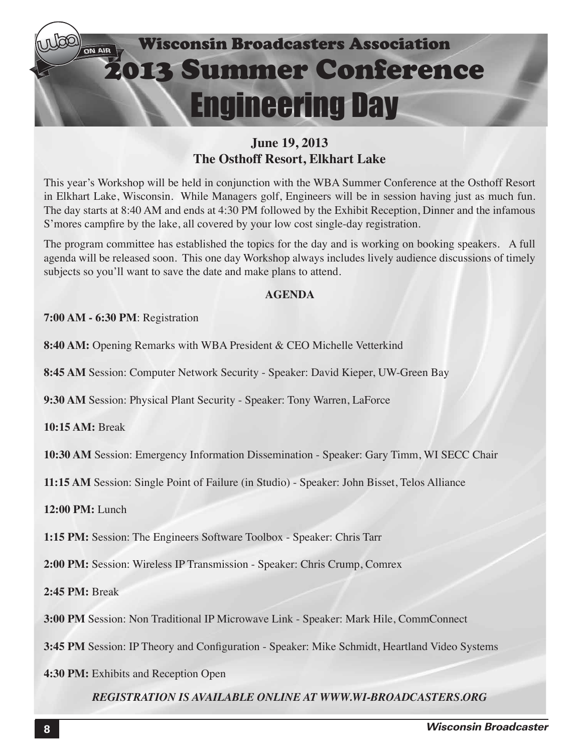

### **June 19, 2013 The Osthoff Resort, Elkhart Lake**

This year's Workshop will be held in conjunction with the WBA Summer Conference at the Osthoff Resort in Elkhart Lake, Wisconsin. While Managers golf, Engineers will be in session having just as much fun. The day starts at 8:40 AM and ends at 4:30 PM followed by the Exhibit Reception, Dinner and the infamous S'mores campfire by the lake, all covered by your low cost single-day registration.

The program committee has established the topics for the day and is working on booking speakers. A full agenda will be released soon. This one day Workshop always includes lively audience discussions of timely subjects so you'll want to save the date and make plans to attend.

### **AGENDA**

### **7:00 AM - 6:30 PM**: Registration

**8:40 AM:** Opening Remarks with WBA President & CEO Michelle Vetterkind

**8:45 AM** Session: Computer Network Security - Speaker: David Kieper, UW-Green Bay

**9:30 AM** Session: Physical Plant Security - Speaker: Tony Warren, LaForce

**10:15 AM:** Break

**10:30 AM** Session: Emergency Information Dissemination - Speaker: Gary Timm, WI SECC Chair

**11:15 AM** Session: Single Point of Failure (in Studio) - Speaker: John Bisset, Telos Alliance

**12:00 PM:** Lunch

**1:15 PM:** Session: The Engineers Software Toolbox - Speaker: Chris Tarr

**2:00 PM:** Session: Wireless IP Transmission - Speaker: Chris Crump, Comrex

**2:45 PM:** Break

**3:00 PM** Session: Non Traditional IP Microwave Link - Speaker: Mark Hile, CommConnect

**3:45 PM** Session: IP Theory and Configuration - Speaker: Mike Schmidt, Heartland Video Systems

**4:30 PM:** Exhibits and Reception Open

*REGISTRATION IS AVAILABLE ONLINE AT WWW.WI-BROADCASTERS.ORG*